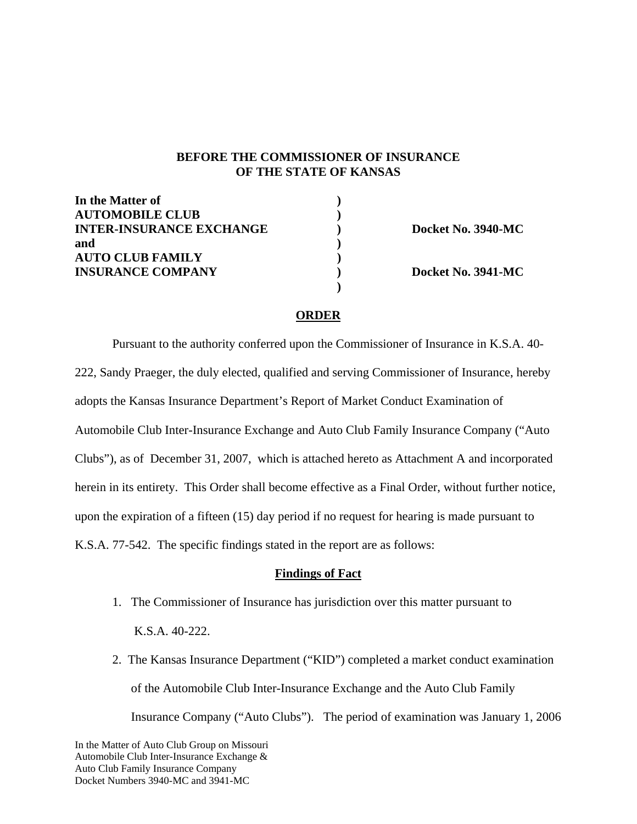### **BEFORE THE COMMISSIONER OF INSURANCE OF THE STATE OF KANSAS**

| In the Matter of                |  |
|---------------------------------|--|
| <b>AUTOMOBILE CLUB</b>          |  |
| <b>INTER-INSURANCE EXCHANGE</b> |  |
| and                             |  |
| <b>AUTO CLUB FAMILY</b>         |  |
| <b>INSURANCE COMPANY</b>        |  |

 **)** 

**INTER-INSURANCE Docket No. 3940-MC** 

**IDocket No. 3941-MC** 

### **ORDER**

 Pursuant to the authority conferred upon the Commissioner of Insurance in K.S.A. 40- 222, Sandy Praeger, the duly elected, qualified and serving Commissioner of Insurance, hereby adopts the Kansas Insurance Department's Report of Market Conduct Examination of Automobile Club Inter-Insurance Exchange and Auto Club Family Insurance Company ("Auto Clubs"), as of December 31, 2007, which is attached hereto as Attachment A and incorporated herein in its entirety. This Order shall become effective as a Final Order, without further notice, upon the expiration of a fifteen (15) day period if no request for hearing is made pursuant to K.S.A. 77-542. The specific findings stated in the report are as follows:

### **Findings of Fact**

- 1. The Commissioner of Insurance has jurisdiction over this matter pursuant to K.S.A. 40-222.
- 2. The Kansas Insurance Department ("KID") completed a market conduct examination of the Automobile Club Inter-Insurance Exchange and the Auto Club Family Insurance Company ("Auto Clubs"). The period of examination was January 1, 2006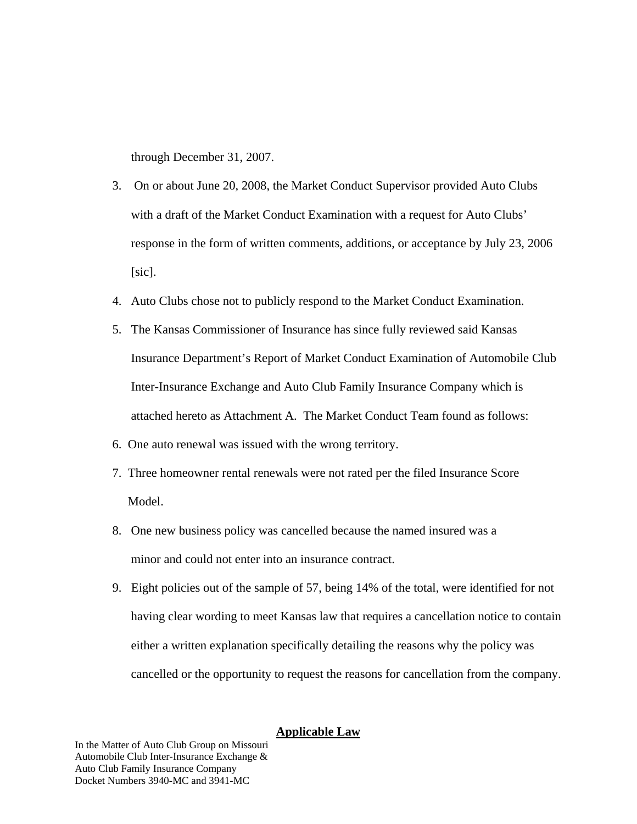through December 31, 2007.

- 3. On or about June 20, 2008, the Market Conduct Supervisor provided Auto Clubs with a draft of the Market Conduct Examination with a request for Auto Clubs' response in the form of written comments, additions, or acceptance by July 23, 2006  $[sic]$ .
- 4. Auto Clubs chose not to publicly respond to the Market Conduct Examination.
- 5. The Kansas Commissioner of Insurance has since fully reviewed said Kansas Insurance Department's Report of Market Conduct Examination of Automobile Club Inter-Insurance Exchange and Auto Club Family Insurance Company which is attached hereto as Attachment A. The Market Conduct Team found as follows:
- 6. One auto renewal was issued with the wrong territory.
- 7. Three homeowner rental renewals were not rated per the filed Insurance Score Model.
- 8. One new business policy was cancelled because the named insured was a minor and could not enter into an insurance contract.
- 9. Eight policies out of the sample of 57, being 14% of the total, were identified for not having clear wording to meet Kansas law that requires a cancellation notice to contain either a written explanation specifically detailing the reasons why the policy was cancelled or the opportunity to request the reasons for cancellation from the company.

### **Applicable Law**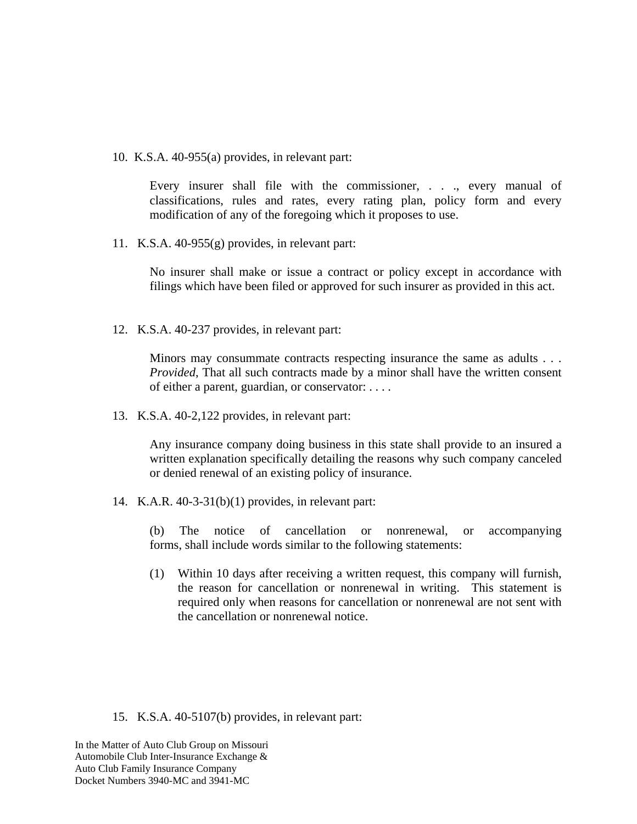10. K.S.A. 40-955(a) provides, in relevant part:

Every insurer shall file with the commissioner, . . ., every manual of classifications, rules and rates, every rating plan, policy form and every modification of any of the foregoing which it proposes to use.

11. K.S.A. 40-955(g) provides, in relevant part:

No insurer shall make or issue a contract or policy except in accordance with filings which have been filed or approved for such insurer as provided in this act.

12. K.S.A. 40-237 provides, in relevant part:

Minors may consummate contracts respecting insurance the same as adults . . . *Provided*, That all such contracts made by a minor shall have the written consent of either a parent, guardian, or conservator: . . . .

13. K.S.A. 40-2,122 provides, in relevant part:

Any insurance company doing business in this state shall provide to an insured a written explanation specifically detailing the reasons why such company canceled or denied renewal of an existing policy of insurance.

14. K.A.R. 40-3-31(b)(1) provides, in relevant part:

(b) The notice of cancellation or nonrenewal, or accompanying forms, shall include words similar to the following statements:

(1) Within 10 days after receiving a written request, this company will furnish, the reason for cancellation or nonrenewal in writing. This statement is required only when reasons for cancellation or nonrenewal are not sent with the cancellation or nonrenewal notice.

15. K.S.A. 40-5107(b) provides, in relevant part: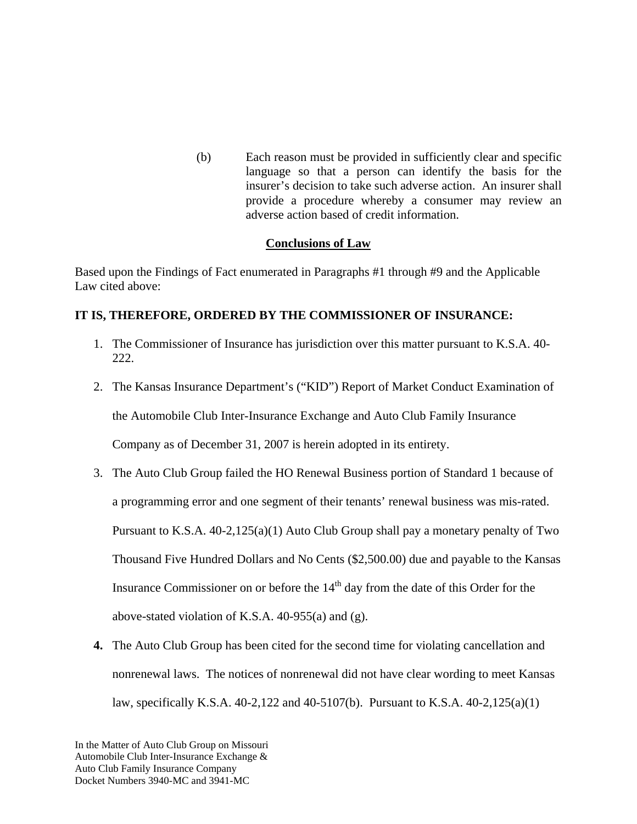(b) Each reason must be provided in sufficiently clear and specific language so that a person can identify the basis for the insurer's decision to take such adverse action. An insurer shall provide a procedure whereby a consumer may review an adverse action based of credit information.

## **Conclusions of Law**

Based upon the Findings of Fact enumerated in Paragraphs #1 through #9 and the Applicable Law cited above:

## **IT IS, THEREFORE, ORDERED BY THE COMMISSIONER OF INSURANCE:**

- 1. The Commissioner of Insurance has jurisdiction over this matter pursuant to K.S.A. 40- 222.
- 2. The Kansas Insurance Department's ("KID") Report of Market Conduct Examination of

the Automobile Club Inter-Insurance Exchange and Auto Club Family Insurance

Company as of December 31, 2007 is herein adopted in its entirety.

- 3. The Auto Club Group failed the HO Renewal Business portion of Standard 1 because of a programming error and one segment of their tenants' renewal business was mis-rated. Pursuant to K.S.A. 40-2,125(a)(1) Auto Club Group shall pay a monetary penalty of Two Thousand Five Hundred Dollars and No Cents (\$2,500.00) due and payable to the Kansas Insurance Commissioner on or before the 14<sup>th</sup> day from the date of this Order for the above-stated violation of K.S.A. 40-955(a) and (g).
- **4.** The Auto Club Group has been cited for the second time for violating cancellation and nonrenewal laws. The notices of nonrenewal did not have clear wording to meet Kansas law, specifically K.S.A. 40-2,122 and 40-5107(b). Pursuant to K.S.A. 40-2,125(a)(1)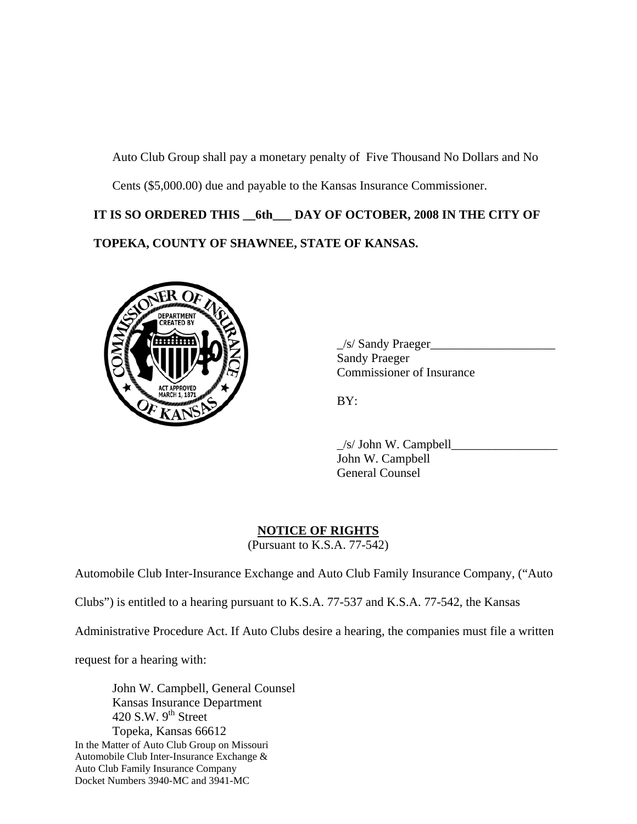Auto Club Group shall pay a monetary penalty of Five Thousand No Dollars and No Cents (\$5,000.00) due and payable to the Kansas Insurance Commissioner.

**IT IS SO ORDERED THIS \_\_6th\_\_\_ DAY OF OCTOBER, 2008 IN THE CITY OF TOPEKA, COUNTY OF SHAWNEE, STATE OF KANSAS.** 



 $\angle$ s/ Sandy Praeger $\angle$  Sandy Praeger Commissioner of Insurance

 $\angle$ s/ John W. Campbell $\angle$  John W. Campbell General Counsel

# **NOTICE OF RIGHTS**

(Pursuant to K.S.A. 77-542)

Automobile Club Inter-Insurance Exchange and Auto Club Family Insurance Company, ("Auto

Clubs") is entitled to a hearing pursuant to K.S.A. 77-537 and K.S.A. 77-542, the Kansas

Administrative Procedure Act. If Auto Clubs desire a hearing, the companies must file a written

request for a hearing with:

In the Matter of Auto Club Group on Missouri Automobile Club Inter-Insurance Exchange & Auto Club Family Insurance Company Docket Numbers 3940-MC and 3941-MC John W. Campbell, General Counsel Kansas Insurance Department 420 S.W.  $9<sup>th</sup>$  Street Topeka, Kansas 66612